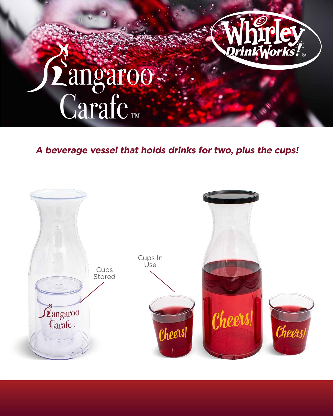

#### **A beverage vessel that holds drinks for two, plus the cups!**

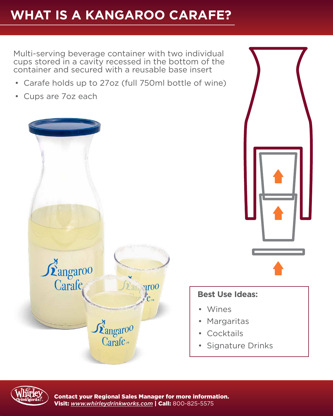### **WHAT IS A KANGAROO CARAFE?**

Multi-serving beverage container with two individual cups stored in a cavity recessed in the bottom of the container and secured with a reusable base insert

- Carafe holds up to 27oz (full 750ml bottle of wine)
- Cups are 7oz each





### **Best Use Ideas:**

- Wines
- Margaritas
- **Cocktails**
- Signature Drinks



Contact your Regional Sales Manager for more information. Visit: *[www.whirleydrinkworks.com](http://www.whirleydrinkworks.com)* | Call: 800-825-5575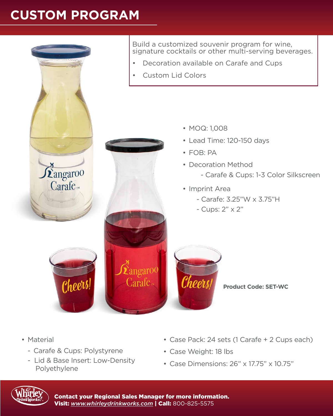# **CUSTOM PROGRAM**



- Material
	- Carafe & Cups: Polystyrene
	- Lid & Base Insert: Low-Density Polyethylene
- Case Pack: 24 sets (1 Carafe + 2 Cups each)
- Case Weight: 18 lbs
- Case Dimensions: 26" x 17.75" x 10.75"



Contact your Regional Sales Manager for more information. Visit: *[www.whirleydrinkworks.com](http://www.whirleydrinkworks.com)* | Call: 800-825-5575